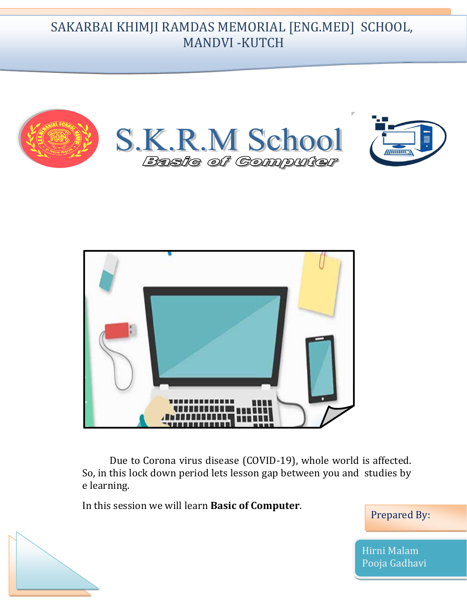SAKARBAI KHIMJI RAMDAS MEMORIAL [ENG.MED] SCHOOL, MANDVI -KUTCH





Due to Corona virus disease (COVID-19), whole world is affected. So, in this lock down period lets lesson gap between you and studies by e learning.

In this session we will learn **Basic of Computer**.

Prepared By:

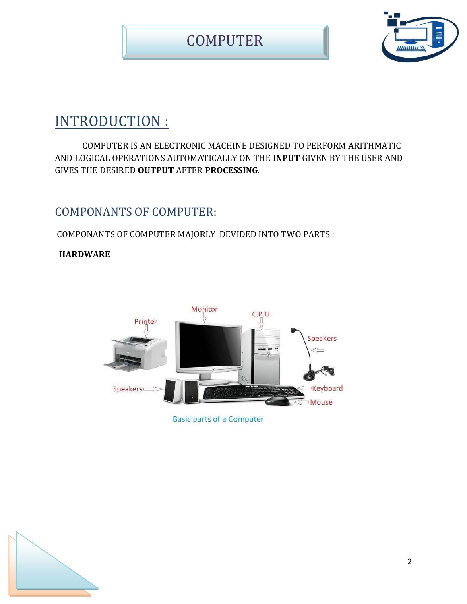

# INTRODUCTION :

COMPUTER IS AN ELECTRONIC MACHINE DESIGNED TO PERFORM ARITHMATIC AND LOGICAL OPERATIONS AUTOMATICALLY ON THE **INPUT** GIVEN BY THE USER AND GIVES THE DESIRED **OUTPUT** AFTER **PROCESSING**.

### COMPONANTS OF COMPUTER:

COMPONANTS OF COMPUTER MAJORLY DEVIDED INTO TWO PARTS :

#### **HARDWARE**



**Basic parts of a Computer** 

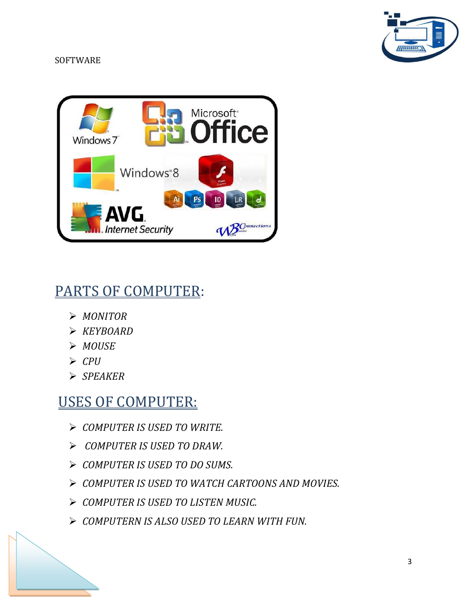# 77711111

#### **SOFTWARE**



# PARTS OF COMPUTER:

- *MONITOR*
- *KEYBOARD*
- *MOUSE*
- *CPU*
- *SPEAKER*

## USES OF COMPUTER:

- *COMPUTER IS USED TO WRITE.*
- *COMPUTER IS USED TO DRAW.*
- *COMPUTER IS USED TO DO SUMS.*
- *COMPUTER IS USED TO WATCH CARTOONS AND MOVIES.*
- *COMPUTER IS USED TO LISTEN MUSIC.*
- *COMPUTERN IS ALSO USED TO LEARN WITH FUN.*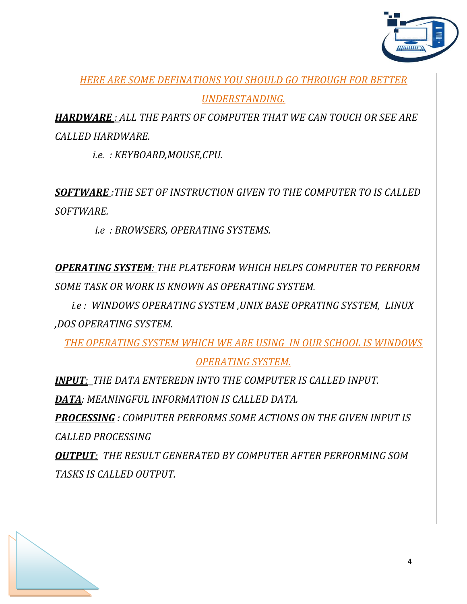

*HERE ARE SOME DEFINATIONS YOU SHOULD GO THROUGH FOR BETTER* 

*UNDERSTANDING.*

*HARDWARE : ALL THE PARTS OF COMPUTER THAT WE CAN TOUCH OR SEE ARE CALLED HARDWARE.*

 *i.e. : KEYBOARD,MOUSE,CPU.*

*SOFTWARE :THE SET OF INSTRUCTION GIVEN TO THE COMPUTER TO IS CALLED SOFTWARE.*

 *i.e : BROWSERS, OPERATING SYSTEMS.*

*OPERATING SYSTEM: THE PLATEFORM WHICH HELPS COMPUTER TO PERFORM SOME TASK OR WORK IS KNOWN AS OPERATING SYSTEM.*

 *i.e : WINDOWS OPERATING SYSTEM ,UNIX BASE OPRATING SYSTEM, LINUX ,DOS OPERATING SYSTEM.*

*THE OPERATING SYSTEM WHICH WE ARE USING IN OUR SCHOOL IS WINDOWS* 

*OPERATING SYSTEM.*

*INPUT: THE DATA ENTEREDN INTO THE COMPUTER IS CALLED INPUT. DATA: MEANINGFUL INFORMATION IS CALLED DATA.*

*PROCESSING : COMPUTER PERFORMS SOME ACTIONS ON THE GIVEN INPUT IS CALLED PROCESSING*

*OUTPUT: THE RESULT GENERATED BY COMPUTER AFTER PERFORMING SOM TASKS IS CALLED OUTPUT.*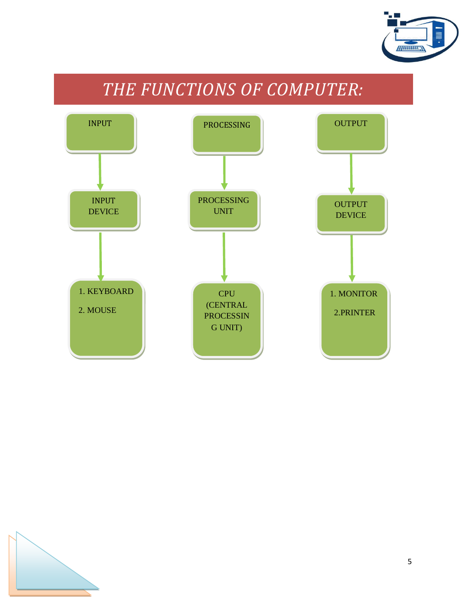

# *THE FUNCTIONS OF COMPUTER:*



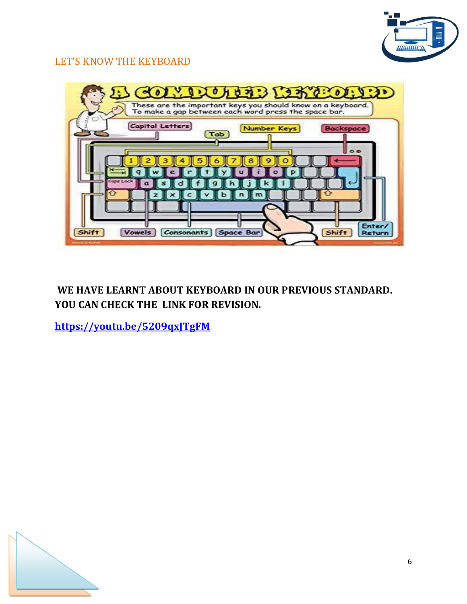

#### LET'S KNOW THE KEYBOARD



#### **WE HAVE LEARNT ABOUT KEYBOARD IN OUR PREVIOUS STANDARD. YOU CAN CHECK THE LINK FOR REVISION.**

**<https://youtu.be/5209qxJTgFM>**

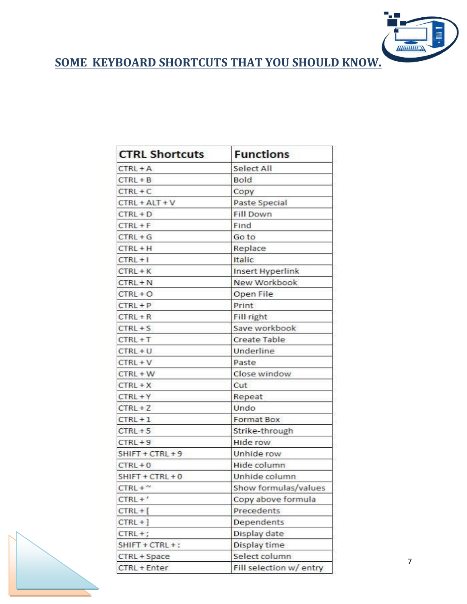

**SOME KEYBOARD SHORTCUTS THAT YOU SHOULD KNOW.**

| <b>CTRL Shortcuts</b> | <b>Functions</b>        |
|-----------------------|-------------------------|
| $CTRL + A$            | Select All              |
| $CTRL + B$            | Bold                    |
| $CTRL + C$            | Copy                    |
| $CTRL + ALT + V$      | Paste Special           |
| $CTRL + D$            | <b>Fill Down</b>        |
| $CTRL + F$            | Find                    |
| $CTRL + G$            | Go to                   |
| $CTRL + H$            | Replace                 |
| $CTRL + 1$            | Italic                  |
| $CTRL + K$            | Insert Hyperlink        |
| $CTRL + N$            | New Workbook            |
| $CTRL + O$            | Open File               |
| $CTRL + P$            | Print                   |
| $CTRL + R$            | Fill right              |
| $CTRL + S$            | Save workbook           |
| $CTRL + T$            | Create Table            |
| $CTRL + U$            | Underline               |
| $CTRL + V$            | Paste                   |
| $CTRL + W$            | Close window            |
| $CTRL + X$            | Cut                     |
| $CTRL + Y$            | Repeat                  |
| $CTRL + Z$            | Undo                    |
| $CTRL + 1$            | <b>Format Box</b>       |
| $CTRL + 5$            | Strike-through          |
| $CTRL + 9$            | <b>Hide row</b>         |
| SHIFT + CTRL + 9      | Unhide row              |
| $CTRL + 0$            | Hide column             |
| $SHIFT + CTRL + 0$    | Unhide column           |
| $CTRL + \gamma$       | Show formulas/values    |
| $CTRL + '$            | Copy above formula      |
| $CTRL +$              | Precedents              |
| $CTRL +$ ]            | Dependents              |
| $CTRL +$ ;            | Display date            |
| SHIFT + CTRL +:       | Display time            |
| CTRL + Space          | Select column           |
| CTRL + Enter          | Fill selection w/ entry |



7